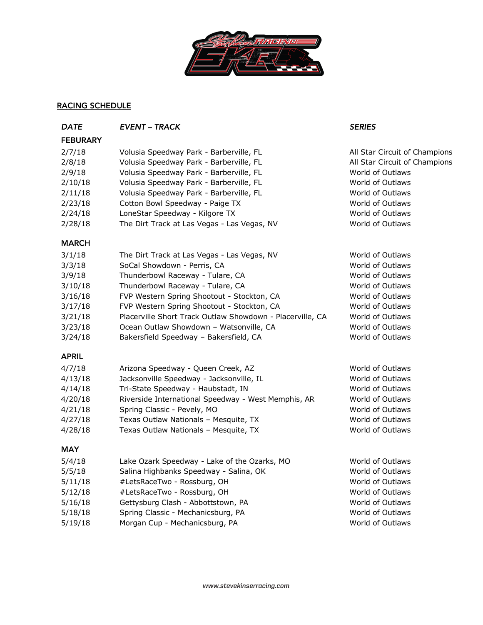

## RACING SCHEDULE

| <b>DATE</b>     | <b>EVENT - TRACK</b>                                      | <b>SERIES</b>                 |
|-----------------|-----------------------------------------------------------|-------------------------------|
| <b>FEBURARY</b> |                                                           |                               |
| 2/7/18          | Volusia Speedway Park - Barberville, FL                   | All Star Circuit of Champions |
| 2/8/18          | Volusia Speedway Park - Barberville, FL                   | All Star Circuit of Champions |
| 2/9/18          | Volusia Speedway Park - Barberville, FL                   | World of Outlaws              |
| 2/10/18         | Volusia Speedway Park - Barberville, FL                   | World of Outlaws              |
| 2/11/18         | Volusia Speedway Park - Barberville, FL                   | World of Outlaws              |
| 2/23/18         | Cotton Bowl Speedway - Paige TX                           | World of Outlaws              |
| 2/24/18         | LoneStar Speedway - Kilgore TX                            | World of Outlaws              |
| 2/28/18         | The Dirt Track at Las Vegas - Las Vegas, NV               | World of Outlaws              |
| <b>MARCH</b>    |                                                           |                               |
| 3/1/18          | The Dirt Track at Las Vegas - Las Vegas, NV               | World of Outlaws              |
| 3/3/18          | SoCal Showdown - Perris, CA                               | World of Outlaws              |
| 3/9/18          | Thunderbowl Raceway - Tulare, CA                          | World of Outlaws              |
| 3/10/18         | Thunderbowl Raceway - Tulare, CA                          | World of Outlaws              |
| 3/16/18         | FVP Western Spring Shootout - Stockton, CA                | World of Outlaws              |
| 3/17/18         | FVP Western Spring Shootout - Stockton, CA                | World of Outlaws              |
| 3/21/18         | Placerville Short Track Outlaw Showdown - Placerville, CA | World of Outlaws              |
| 3/23/18         | Ocean Outlaw Showdown - Watsonville, CA                   | World of Outlaws              |
| 3/24/18         | Bakersfield Speedway - Bakersfield, CA                    | World of Outlaws              |
| <b>APRIL</b>    |                                                           |                               |
| 4/7/18          | Arizona Speedway - Queen Creek, AZ                        | World of Outlaws              |
| 4/13/18         | Jacksonville Speedway - Jacksonville, IL                  | World of Outlaws              |
| 4/14/18         | Tri-State Speedway - Haubstadt, IN                        | World of Outlaws              |
| 4/20/18         | Riverside International Speedway - West Memphis, AR       | World of Outlaws              |
| 4/21/18         | Spring Classic - Pevely, MO                               | World of Outlaws              |
| 4/27/18         | Texas Outlaw Nationals - Mesquite, TX                     | World of Outlaws              |
| 4/28/18         | Texas Outlaw Nationals - Mesquite, TX                     | World of Outlaws              |
| <b>MAY</b>      |                                                           |                               |
| 5/4/18          | Lake Ozark Speedway - Lake of the Ozarks, MO              | World of Outlaws              |
| 5/5/18          | Salina Highbanks Speedway - Salina, OK                    | World of Outlaws              |
| 5/11/18         | #LetsRaceTwo - Rossburg, OH                               | World of Outlaws              |
| 5/12/18         | #LetsRaceTwo - Rossburg, OH                               | World of Outlaws              |
| 5/16/18         | Gettysburg Clash - Abbottstown, PA                        | World of Outlaws              |
| 5/18/18         | Spring Classic - Mechanicsburg, PA                        | World of Outlaws              |
| 5/19/18         | Morgan Cup - Mechanicsburg, PA                            | World of Outlaws              |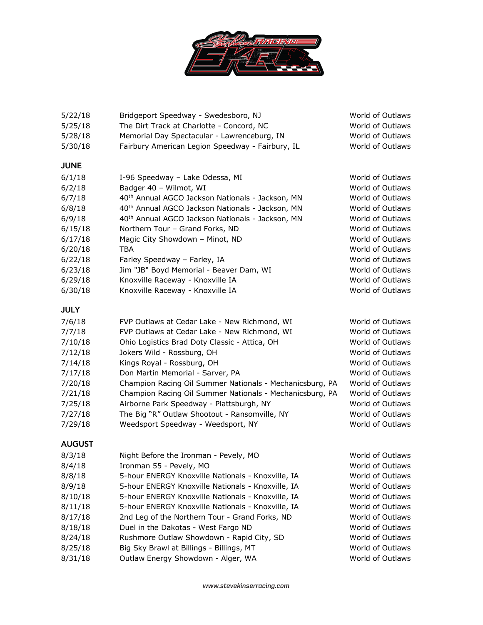

| 5/22/18       | Bridgeport Speedway - Swedesboro, NJ                         | World of Outlaws |
|---------------|--------------------------------------------------------------|------------------|
| 5/25/18       | The Dirt Track at Charlotte - Concord, NC                    | World of Outlaws |
| 5/28/18       | Memorial Day Spectacular - Lawrenceburg, IN                  | World of Outlaws |
| 5/30/18       | Fairbury American Legion Speedway - Fairbury, IL             | World of Outlaws |
| <b>JUNE</b>   |                                                              |                  |
| 6/1/18        | I-96 Speedway - Lake Odessa, MI                              | World of Outlaws |
| 6/2/18        | Badger 40 - Wilmot, WI                                       | World of Outlaws |
| 6/7/18        | 40 <sup>th</sup> Annual AGCO Jackson Nationals - Jackson, MN | World of Outlaws |
| 6/8/18        | 40 <sup>th</sup> Annual AGCO Jackson Nationals - Jackson, MN | World of Outlaws |
| 6/9/18        | 40 <sup>th</sup> Annual AGCO Jackson Nationals - Jackson, MN | World of Outlaws |
| 6/15/18       | Northern Tour - Grand Forks, ND                              | World of Outlaws |
| 6/17/18       | Magic City Showdown - Minot, ND                              | World of Outlaws |
| 6/20/18       | TBA                                                          | World of Outlaws |
| 6/22/18       | Farley Speedway - Farley, IA                                 | World of Outlaws |
| 6/23/18       | Jim "JB" Boyd Memorial - Beaver Dam, WI                      | World of Outlaws |
| 6/29/18       | Knoxville Raceway - Knoxville IA                             | World of Outlaws |
| 6/30/18       | Knoxville Raceway - Knoxville IA                             | World of Outlaws |
| <b>JULY</b>   |                                                              |                  |
| 7/6/18        | FVP Outlaws at Cedar Lake - New Richmond, WI                 | World of Outlaws |
| 7/7/18        | FVP Outlaws at Cedar Lake - New Richmond, WI                 | World of Outlaws |
| 7/10/18       | Ohio Logistics Brad Doty Classic - Attica, OH                | World of Outlaws |
| 7/12/18       | Jokers Wild - Rossburg, OH                                   | World of Outlaws |
| 7/14/18       | Kings Royal - Rossburg, OH                                   | World of Outlaws |
| 7/17/18       | Don Martin Memorial - Sarver, PA                             | World of Outlaws |
| 7/20/18       | Champion Racing Oil Summer Nationals - Mechanicsburg, PA     | World of Outlaws |
| 7/21/18       | Champion Racing Oil Summer Nationals - Mechanicsburg, PA     | World of Outlaws |
| 7/25/18       | Airborne Park Speedway - Plattsburgh, NY                     | World of Outlaws |
| 7/27/18       | The Big "R" Outlaw Shootout - Ransomville, NY                | World of Outlaws |
| 7/29/18       | Weedsport Speedway - Weedsport, NY                           | World of Outlaws |
| <b>AUGUST</b> |                                                              |                  |
| 8/3/18        | Night Before the Ironman - Pevely, MO                        | World of Outlaws |
| 8/4/18        | Ironman 55 - Pevely, MO                                      | World of Outlaws |
| 8/8/18        | 5-hour ENERGY Knoxville Nationals - Knoxville, IA            | World of Outlaws |
| 8/9/18        | 5-hour ENERGY Knoxville Nationals - Knoxville, IA            | World of Outlaws |
| 8/10/18       | 5-hour ENERGY Knoxville Nationals - Knoxville, IA            | World of Outlaws |
| 8/11/18       | 5-hour ENERGY Knoxville Nationals - Knoxville, IA            | World of Outlaws |
| 8/17/18       | 2nd Leg of the Northern Tour - Grand Forks, ND               | World of Outlaws |
| 8/18/18       | Duel in the Dakotas - West Fargo ND                          | World of Outlaws |
| 8/24/18       | Rushmore Outlaw Showdown - Rapid City, SD                    | World of Outlaws |
| 8/25/18       | Big Sky Brawl at Billings - Billings, MT                     | World of Outlaws |
| 8/31/18       | Outlaw Energy Showdown - Alger, WA                           | World of Outlaws |